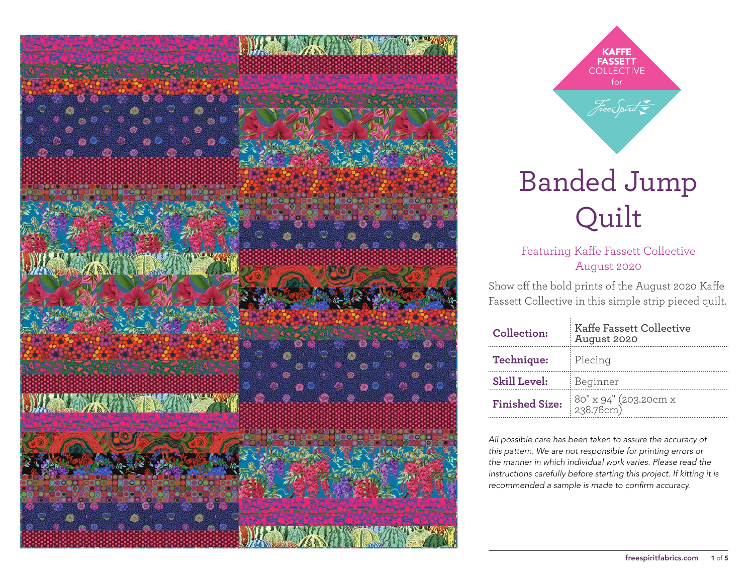

**KAFFE FASSETT** for Free Spirit

# Banded Jump Quilt

Featuring Kaffe Fassett Collective August 2020

Show off the bold prints of the August 2020 Kaffe Fassett Collective in this simple strip pieced quilt.

| Collection:           | <b>Kaffe Fassett Collective</b><br>August 2020 |  |  |  |  |
|-----------------------|------------------------------------------------|--|--|--|--|
| Technique:            | Piecing                                        |  |  |  |  |
| <b>Skill Level:</b>   | Beginner                                       |  |  |  |  |
| <b>Finished Size:</b> | 80" x 94" (203.20cm x<br>238.76cm)             |  |  |  |  |

*All possible care has been taken to assure the accuracy of this pattern. We are not responsible for printing errors or the manner in which individual work varies. Please read the instructions carefully before starting this project. If kitting it is recommended a sample is made to confirm accuracy.*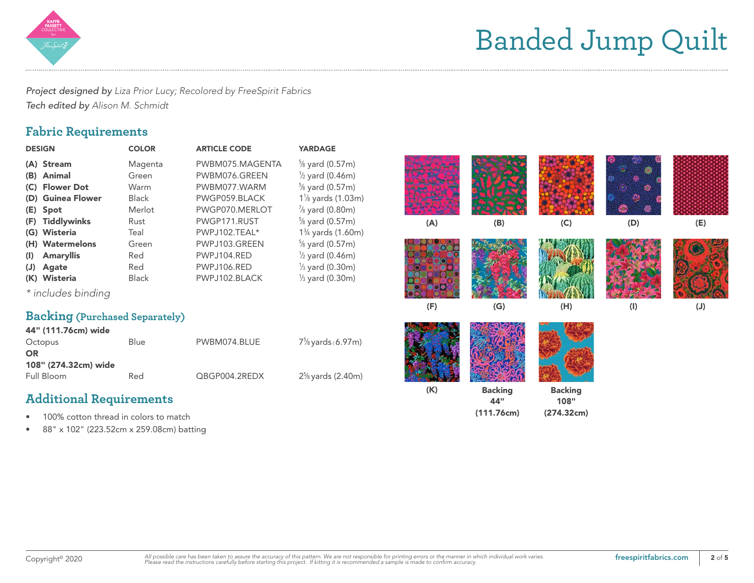

# Banded Jump Quilt

*Project designed by Liza Prior Lucy; Recolored by FreeSpirit Fabrics Tech edited by Alison M. Schmidt*

## **Fabric Requirements**

| <b>DESIGN</b>                                                                                       | <b>COLOR</b>                                               | <b>ARTICLE CODE</b>                                                                                 | <b>YARDAGE</b>                                                                                                                                                                                    |     |                                     |                                      |           |     |
|-----------------------------------------------------------------------------------------------------|------------------------------------------------------------|-----------------------------------------------------------------------------------------------------|---------------------------------------------------------------------------------------------------------------------------------------------------------------------------------------------------|-----|-------------------------------------|--------------------------------------|-----------|-----|
| (A) Stream<br>(B) Animal<br>(C) Flower Dot<br>(D) Guinea Flower<br>(E) Spot<br>(F) Tiddlywinks      | Magenta<br>Green<br>Warm<br><b>Black</b><br>Merlot<br>Rust | PWBM075.MAGENTA<br>PWBM076.GREEN<br>PWBM077.WARM<br>PWGP059.BLACK<br>PWGP070.MERLOT<br>PWGP171.RUST | $\frac{5}{8}$ yard (0.57m)<br>$\frac{1}{2}$ yard (0.46m)<br>$\frac{5}{8}$ yard (0.57m)<br>1 <sup>1</sup> / <sub>8</sub> yards (1.03m)<br>$\frac{7}{8}$ yard (0.80m)<br>$\frac{5}{8}$ yard (0.57m) | (A) | (B)                                 | (C)                                  | (D)       | (E) |
| (G) Wisteria<br>(H) Watermelons<br>(I) Amaryllis<br>(J) Agate<br>(K) Wisteria<br>* includes binding | Teal<br>Green<br>Red<br>Red<br><b>Black</b>                | PWPJ102.TEAL*<br>PWPJ103.GREEN<br>PWPJ104.RED<br>PWPJ106.RED<br>PWPJ102.BLACK                       | 1 <sup>3</sup> / <sub>4</sub> yards (1.60m)<br>$\frac{5}{8}$ yard (0.57m)<br>$\frac{1}{2}$ yard (0.46m)<br>$\frac{1}{3}$ yard (0.30m)<br>$\frac{1}{3}$ yard (0.30m)                               |     |                                     |                                      |           |     |
| <b>Backing (</b> Purchased Separately)<br>44" (111.76cm) wide                                       |                                                            |                                                                                                     |                                                                                                                                                                                                   | (F) | (G)                                 | (H)                                  | $($ l $)$ | (J) |
| Octopus<br><b>OR</b><br>108" (274.32cm) wide                                                        | Blue                                                       | PWBM074.BLUE                                                                                        | 7 <sup>5</sup> / <sub>8</sub> yards (6.97m)                                                                                                                                                       |     |                                     |                                      |           |     |
| Full Bloom<br><b>Additional Requirements</b><br>100% cotton thread in colors to match               | Red                                                        | QBGP004.2REDX                                                                                       | $2\frac{5}{8}$ yards (2.40m)                                                                                                                                                                      | (K) | <b>Backing</b><br>44"<br>(111.76cm) | <b>Backing</b><br>108"<br>(274.32cm) |           |     |
|                                                                                                     |                                                            |                                                                                                     |                                                                                                                                                                                                   |     |                                     |                                      |           |     |

• 88" x 102" (223.52cm x 259.08cm) batting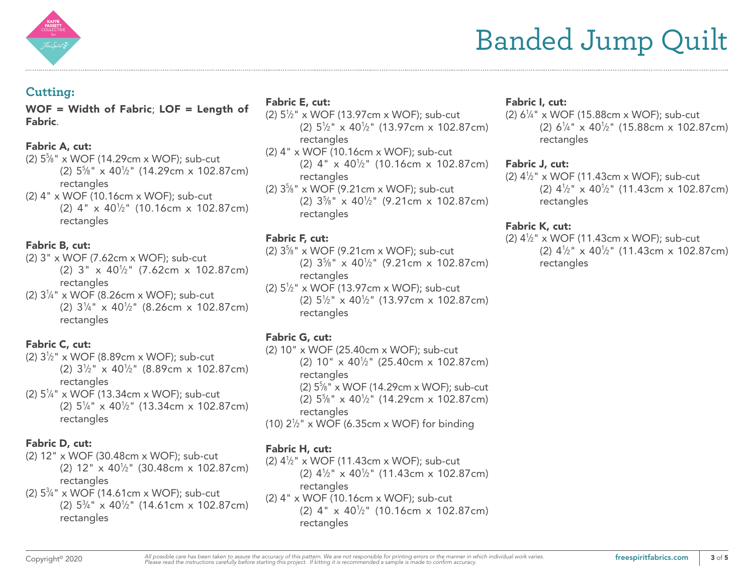

## **Cutting:**

WOF = Width of Fabric; LOF = Length of Fabric.

#### Fabric A, cut:

- (2) 55 ⁄8" x WOF (14.29cm x WOF); sub-cut (2) 55 ⁄8" x 401 ⁄2" (14.29cm x 102.87cm) rectangles
- (2) 4" x WOF (10.16cm x WOF); sub-cut (2) 4" x 401 ⁄2" (10.16cm x 102.87cm) rectangles

#### Fabric B, cut:

- (2) 3" x WOF (7.62cm x WOF); sub-cut  $(2)$  3" x 40<sup>1</sup>/<sub>2</sub>" (7.62cm x 102.87cm) rectangles
- (2) 31 ⁄4" x WOF (8.26cm x WOF); sub-cut (2) 31 ⁄4" x 401 ⁄2" (8.26cm x 102.87cm) rectangles

#### Fabric C, cut:

- (2) 31 ⁄2" x WOF (8.89cm x WOF); sub-cut (2)  $3\frac{1}{2}$ " x 40 $\frac{1}{2}$ " (8.89cm x 102.87cm) rectangles
- (2) 51 ⁄4" x WOF (13.34cm x WOF); sub-cut (2)  $5\frac{1}{4}$ " x 40<sup>1</sup>/<sub>2</sub>" (13.34cm x 102.87cm) rectangles

#### Fabric D, cut:

- (2) 12" x WOF (30.48cm x WOF); sub-cut (2) 12" x 401 ⁄2" (30.48cm x 102.87cm) rectangles
- (2) 53 ⁄4" x WOF (14.61cm x WOF); sub-cut (2)  $5\frac{3}{4}$ " x 40<sup>1</sup>/<sub>2</sub>" (14.61cm x 102.87cm) rectangles

### Fabric E, cut:

- (2) 51 ⁄2" x WOF (13.97cm x WOF); sub-cut (2) 51 ⁄2" x 401 ⁄2" (13.97cm x 102.87cm) rectangles
- (2) 4" x WOF (10.16cm x WOF); sub-cut (2) 4" x 401 ⁄2" (10.16cm x 102.87cm) rectangles
- (2) 35 ⁄8" x WOF (9.21cm x WOF); sub-cut (2) 35 ⁄8" x 401 ⁄2" (9.21cm x 102.87cm) rectangles

### Fabric F, cut:

- (2) 35 ⁄8" x WOF (9.21cm x WOF); sub-cut (2)  $3\frac{5}{8}$ " x  $40\frac{1}{2}$ " (9.21cm x 102.87cm) rectangles
- (2) 51 ⁄2" x WOF (13.97cm x WOF); sub-cut (2)  $5\frac{1}{2}$ " x 40 $\frac{1}{2}$ " (13.97cm x 102.87cm) rectangles

#### Fabric G, cut:

(2) 10" x WOF (25.40cm x WOF); sub-cut (2) 10" x 401 ⁄2" (25.40cm x 102.87cm) rectangles (2) 55 ⁄8" x WOF (14.29cm x WOF); sub-cut (2) 55 ⁄8" x 401 ⁄2" (14.29cm x 102.87cm) rectangles (10)  $2\frac{1}{2}$ " x WOF (6.35cm x WOF) for binding

#### Fabric H, cut:

(2) 41 ⁄2" x WOF (11.43cm x WOF); sub-cut (2)  $4\frac{1}{2}$ " x  $40\frac{1}{2}$ " (11.43cm x 102.87cm) rectangles (2) 4" x WOF (10.16cm x WOF); sub-cut (2) 4" x 401 ⁄2" (10.16cm x 102.87cm) rectangles

#### Fabric I, cut:

 $(2) 6<sup>1</sup>/<sub>4</sub>$ " x WOF (15.88cm x WOF); sub-cut (2)  $6\frac{1}{4}$  x  $40\frac{1}{2}$  (15.88cm x 102.87cm) rectangles

#### Fabric J, cut:

(2) 41 ⁄2" x WOF (11.43cm x WOF); sub-cut (2)  $4\frac{1}{2}$ " x  $40\frac{1}{2}$ " (11.43cm x 102.87cm) rectangles

#### Fabric K, cut:

(2) 41 ⁄2" x WOF (11.43cm x WOF); sub-cut (2)  $4\frac{1}{2}$ " x  $40\frac{1}{2}$ " (11.43cm x 102.87cm) rectangles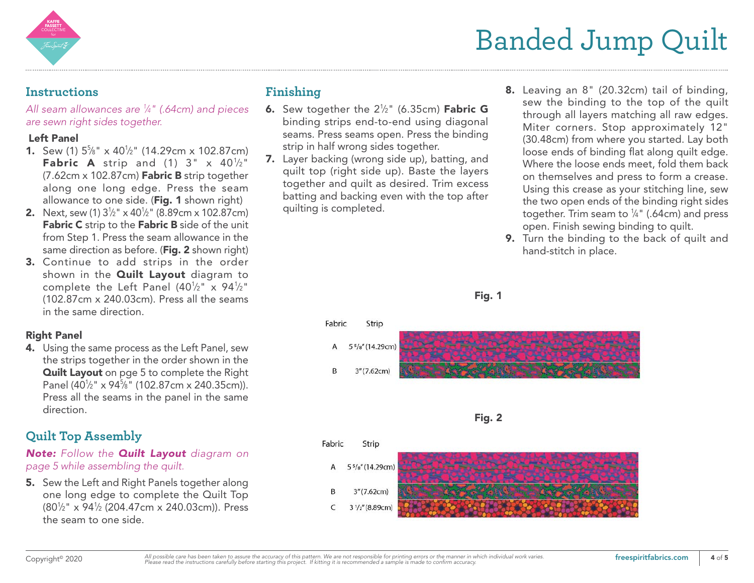

# Banded Jump Quilt

### **Instructions**

*All seam allowances are 1 ⁄4" (.64cm) and pieces are sewn right sides together.* 

#### Left Panel

- **1.** Sew (1)  $5\frac{5}{8}$ " x 40<sup>1</sup>/<sub>2</sub>" (14.29cm x 102.87cm) **Fabric A** strip and  $(1)$  3" x  $40\frac{1}{2}$ " (7.62cm x 102.87cm) Fabric B strip together along one long edge. Press the seam allowance to one side. (Fig. 1 shown right)
- **2.** Next, sew (1)  $3\frac{1}{2}$ " x 40<sup>1</sup>/<sub>2</sub>" (8.89cm x 102.87cm) Fabric C strip to the Fabric B side of the unit from Step 1. Press the seam allowance in the same direction as before. (Fig. 2 shown right)
- 3. Continue to add strips in the order shown in the **Quilt Layout** diagram to complete the Left Panel (40½" x 94½" (102.87cm x 240.03cm). Press all the seams in the same direction.

### Right Panel

4. Using the same process as the Left Panel, sew the strips together in the order shown in the Quilt Layout on pge 5 to complete the Right Panel (401 ⁄2" x 945 ⁄8" (102.87cm x 240.35cm)). Press all the seams in the panel in the same direction.

# **Quilt Top Assembly**

*Note: Follow the Quilt Layout diagram on page 5 while assembling the quilt.* 

5. Sew the Left and Right Panels together along one long edge to complete the Quilt Top (801 ⁄2" x 941 ⁄2 (204.47cm x 240.03cm)). Press the seam to one side.

# **Finishing**

- **6.** Sew together the  $2\frac{1}{2}$ " (6.35cm) **Fabric G** binding strips end-to-end using diagonal seams. Press seams open. Press the binding strip in half wrong sides together.
- 7. Layer backing (wrong side up), batting, and quilt top (right side up). Baste the layers together and quilt as desired. Trim excess batting and backing even with the top after quilting is completed.
- 8. Leaving an 8" (20.32cm) tail of binding, sew the binding to the top of the quilt through all layers matching all raw edges. Miter corners. Stop approximately 12" (30.48cm) from where you started. Lay both loose ends of binding flat along quilt edge. Where the loose ends meet, fold them back on themselves and press to form a crease. Using this crease as your stitching line, sew the two open ends of the binding right sides together. Trim seam to  $\frac{1}{4}$ " (.64cm) and press open. Finish sewing binding to quilt.
- 9. Turn the binding to the back of quilt and hand-stitch in place.